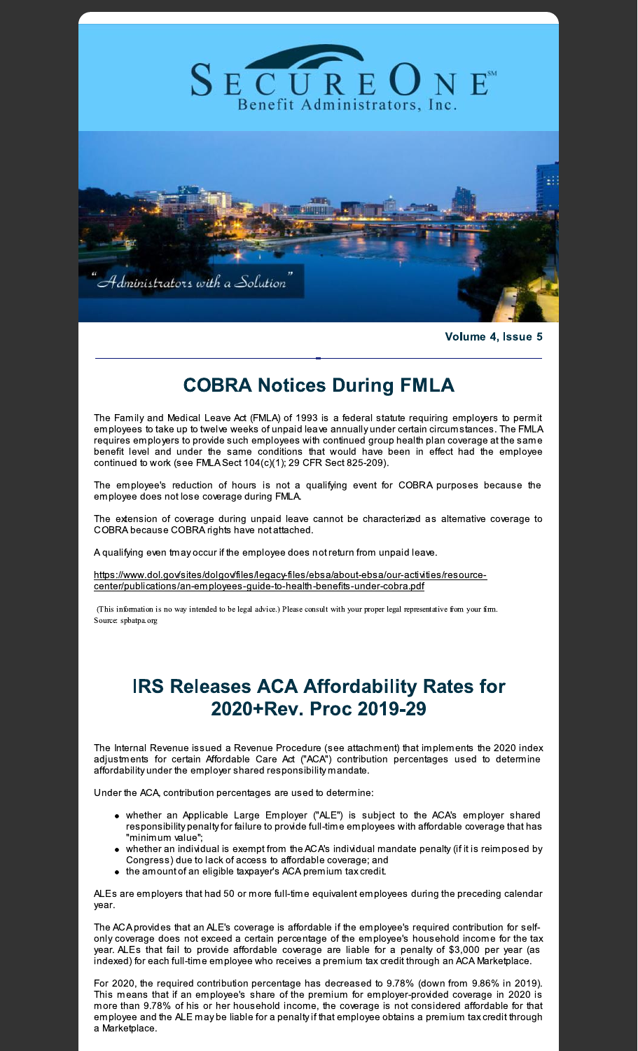

Volume 4, Issue 5

## **COBRA Notices During FMLA**

The Family and Medical Leave Act (FMLA) of 1993 is a federal statute requiring employers to permit employees to take up to twelve weeks of unpaid leave annually under certain circumstances. The FMLA requires employers to provide such employees with continued group health plan coverage at the same benefit level and under the same conditions that would have been in effect had the employee continued to work (see FMLA Sect 104(c)(1); 29 CFR Sect 825-209).

The employee's reduction of hours is not a qualifying event for COBRA purposes because the employee does not lose coverage during FMLA.

The extension of coverage during unpaid leave cannot be characterized as alternative coverage to COBRA because COBRA rights have not attached.

A qualifying even tmay occur if the employee does not return from unpaid leave.

https://www.dol.gov/sites/dolgov/files/legacy-files/ebsa/about-ebsa/our-activities/resourcecenter/publications/an-employees-guide-to-health-benefits-under-cobra.pdf

(This information is no way intended to be legal advice.) Please consult with your proper legal representative from your firm. Source: spbatpa.org

## **IRS Releases ACA Affordability Rates for** 2020+Rev. Proc 2019-29

The Internal Revenue issued a Revenue Procedure (see attachment) that implements the 2020 index adjustments for certain Affordable Care Act ("ACA") contribution percentages used to determine affordability under the employer shared responsibility mandate.

Under the ACA, contribution percentages are used to determine:

- whether an Applicable Large Employer ("ALE") is subject to the ACA's employer shared responsibility penalty for failure to provide full-time employees with affordable coverage that has "minimum value";
- whether an individual is exempt from the ACA's individual mandate penalty (if it is reimposed by Congress) due to lack of access to affordable coverage; and
- the amount of an eligible taxpayer's ACA premium tax credit.

ALEs are employers that had 50 or more full-time equivalent employees during the preceding calendar year.

The ACA provides that an ALE's coverage is affordable if the employee's required contribution for selfonly coverage does not exceed a certain percentage of the employee's household income for the tax year. ALEs that fail to provide affordable coverage are liable for a penalty of \$3,000 per year (as indexed) for each full-time employee who receives a premium tax credit through an ACA Marketplace.

For 2020, the required contribution percentage has decreased to 9.78% (down from 9.86% in 2019). This means that if an employee's share of the premium for employer-provided coverage in 2020 is more than 9.78% of his or her household income, the coverage is not considered affordable for that employee and the ALE may be liable for a penalty if that employee obtains a premium tax credit through a Marketplace.